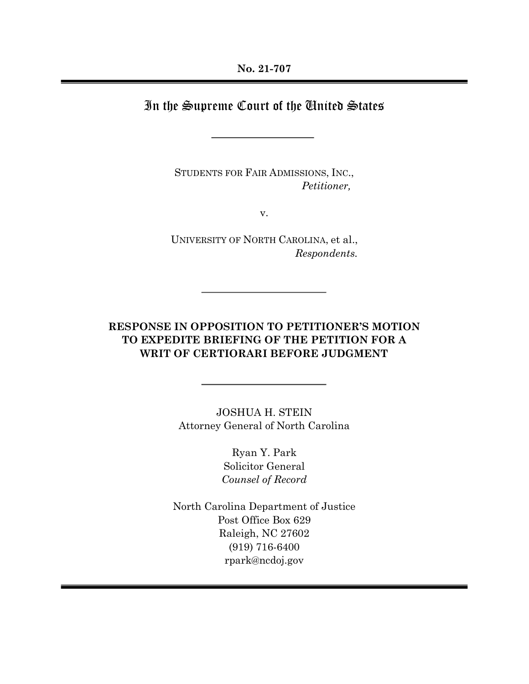# In the Supreme Court of the United States

STUDENTS FOR FAIR ADMISSIONS, INC., Petitioner,

v.

UNIVERSITY OF NORTH CAROLINA, et al., Respondents.

## RESPONSE IN OPPOSITION TO PETITIONER'S MOTION TO EXPEDITE BRIEFING OF THE PETITION FOR A WRIT OF CERTIORARI BEFORE JUDGMENT

JOSHUA H. STEIN Attorney General of North Carolina

> Ryan Y. Park Solicitor General Counsel of Record

North Carolina Department of Justice Post Office Box 629 Raleigh, NC 27602 (919) 716-6400 rpark@ncdoj.gov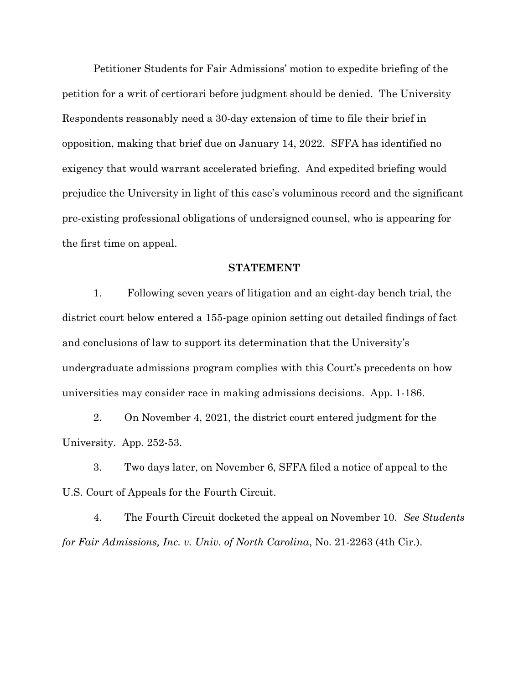Petitioner Students for Fair Admissions' motion to expedite briefing of the petition for a writ of certiorari before judgment should be denied. The University Respondents reasonably need a 30-day extension of time to file their brief in opposition, making that brief due on January 14, 2022. SFFA has identified no exigency that would warrant accelerated briefing. And expedited briefing would prejudice the University in light of this case's voluminous record and the significant pre-existing professional obligations of undersigned counsel, who is appearing for the first time on appeal.

#### STATEMENT

 1. Following seven years of litigation and an eight-day bench trial, the district court below entered a 155-page opinion setting out detailed findings of fact and conclusions of law to support its determination that the University's undergraduate admissions program complies with this Court's precedents on how universities may consider race in making admissions decisions. App. 1-186.

 2. On November 4, 2021, the district court entered judgment for the University. App. 252-53.

 3. Two days later, on November 6, SFFA filed a notice of appeal to the U.S. Court of Appeals for the Fourth Circuit.

4. The Fourth Circuit docketed the appeal on November 10. See Students for Fair Admissions, Inc. v. Univ. of North Carolina, No. 21-2263 (4th Cir.).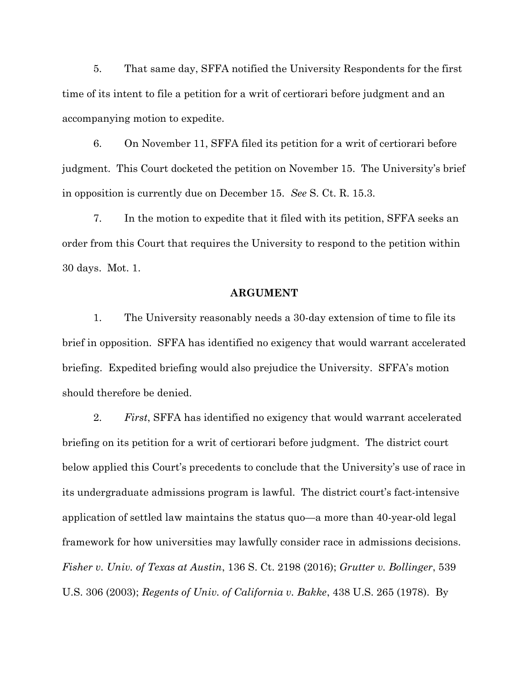5. That same day, SFFA notified the University Respondents for the first time of its intent to file a petition for a writ of certiorari before judgment and an accompanying motion to expedite.

6. On November 11, SFFA filed its petition for a writ of certiorari before judgment. This Court docketed the petition on November 15. The University's brief in opposition is currently due on December 15. See S. Ct. R. 15.3.

7. In the motion to expedite that it filed with its petition, SFFA seeks an order from this Court that requires the University to respond to the petition within 30 days. Mot. 1.

#### ARGUMENT

1. The University reasonably needs a 30-day extension of time to file its brief in opposition. SFFA has identified no exigency that would warrant accelerated briefing. Expedited briefing would also prejudice the University. SFFA's motion should therefore be denied.

2. First, SFFA has identified no exigency that would warrant accelerated briefing on its petition for a writ of certiorari before judgment. The district court below applied this Court's precedents to conclude that the University's use of race in its undergraduate admissions program is lawful. The district court's fact-intensive application of settled law maintains the status quo—a more than 40-year-old legal framework for how universities may lawfully consider race in admissions decisions. Fisher v. Univ. of Texas at Austin, 136 S. Ct. 2198 (2016); Grutter v. Bollinger, 539 U.S. 306 (2003); Regents of Univ. of California v. Bakke, 438 U.S. 265 (1978). By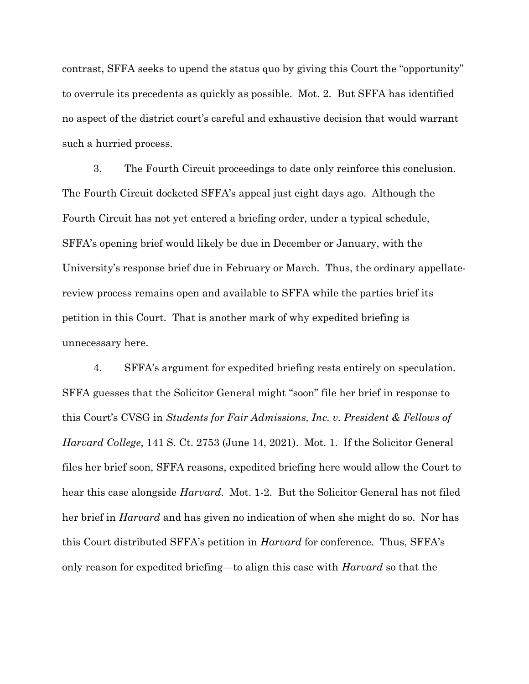contrast, SFFA seeks to upend the status quo by giving this Court the "opportunity" to overrule its precedents as quickly as possible. Mot. 2. But SFFA has identified no aspect of the district court's careful and exhaustive decision that would warrant such a hurried process.

3. The Fourth Circuit proceedings to date only reinforce this conclusion. The Fourth Circuit docketed SFFA's appeal just eight days ago. Although the Fourth Circuit has not yet entered a briefing order, under a typical schedule, SFFA's opening brief would likely be due in December or January, with the University's response brief due in February or March. Thus, the ordinary appellatereview process remains open and available to SFFA while the parties brief its petition in this Court. That is another mark of why expedited briefing is unnecessary here.

4. SFFA's argument for expedited briefing rests entirely on speculation. SFFA guesses that the Solicitor General might "soon" file her brief in response to this Court's CVSG in Students for Fair Admissions, Inc. v. President & Fellows of Harvard College, 141 S. Ct. 2753 (June 14, 2021). Mot. 1. If the Solicitor General files her brief soon, SFFA reasons, expedited briefing here would allow the Court to hear this case alongside *Harvard*. Mot. 1-2. But the Solicitor General has not filed her brief in *Harvard* and has given no indication of when she might do so. Nor has this Court distributed SFFA's petition in Harvard for conference. Thus, SFFA's only reason for expedited briefing—to align this case with Harvard so that the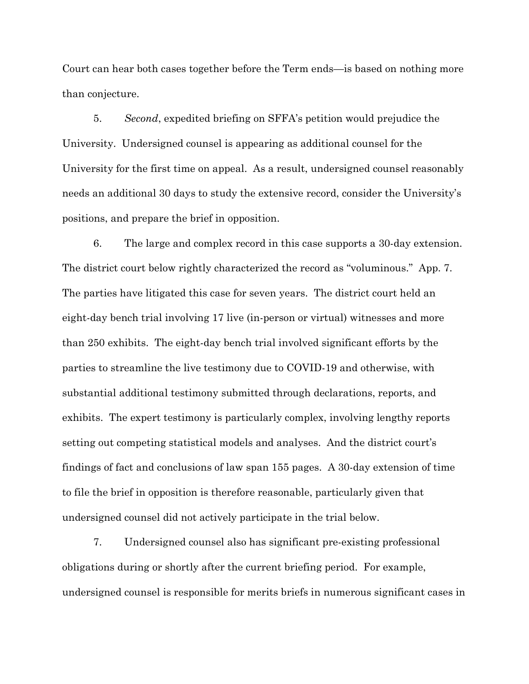Court can hear both cases together before the Term ends—is based on nothing more than conjecture.

 5. Second, expedited briefing on SFFA's petition would prejudice the University. Undersigned counsel is appearing as additional counsel for the University for the first time on appeal. As a result, undersigned counsel reasonably needs an additional 30 days to study the extensive record, consider the University's positions, and prepare the brief in opposition.

 6. The large and complex record in this case supports a 30-day extension. The district court below rightly characterized the record as "voluminous." App. 7. The parties have litigated this case for seven years. The district court held an eight-day bench trial involving 17 live (in-person or virtual) witnesses and more than 250 exhibits. The eight-day bench trial involved significant efforts by the parties to streamline the live testimony due to COVID-19 and otherwise, with substantial additional testimony submitted through declarations, reports, and exhibits. The expert testimony is particularly complex, involving lengthy reports setting out competing statistical models and analyses. And the district court's findings of fact and conclusions of law span 155 pages. A 30-day extension of time to file the brief in opposition is therefore reasonable, particularly given that undersigned counsel did not actively participate in the trial below.

 7. Undersigned counsel also has significant pre-existing professional obligations during or shortly after the current briefing period. For example, undersigned counsel is responsible for merits briefs in numerous significant cases in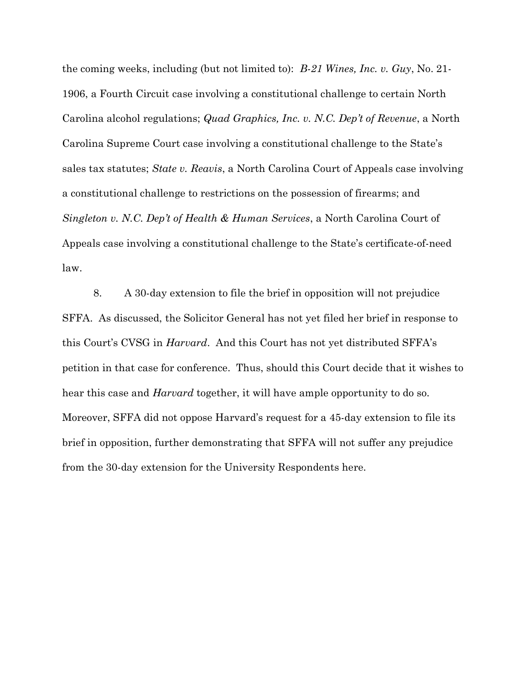the coming weeks, including (but not limited to): B-21 Wines, Inc. v. Guy, No. 21- 1906, a Fourth Circuit case involving a constitutional challenge to certain North Carolina alcohol regulations; Quad Graphics, Inc. v. N.C. Dep't of Revenue, a North Carolina Supreme Court case involving a constitutional challenge to the State's sales tax statutes; State v. Reavis, a North Carolina Court of Appeals case involving a constitutional challenge to restrictions on the possession of firearms; and Singleton v. N.C. Dep't of Health & Human Services, a North Carolina Court of Appeals case involving a constitutional challenge to the State's certificate-of-need law.

 8. A 30-day extension to file the brief in opposition will not prejudice SFFA. As discussed, the Solicitor General has not yet filed her brief in response to this Court's CVSG in Harvard. And this Court has not yet distributed SFFA's petition in that case for conference. Thus, should this Court decide that it wishes to hear this case and *Harvard* together, it will have ample opportunity to do so. Moreover, SFFA did not oppose Harvard's request for a 45-day extension to file its brief in opposition, further demonstrating that SFFA will not suffer any prejudice from the 30-day extension for the University Respondents here.